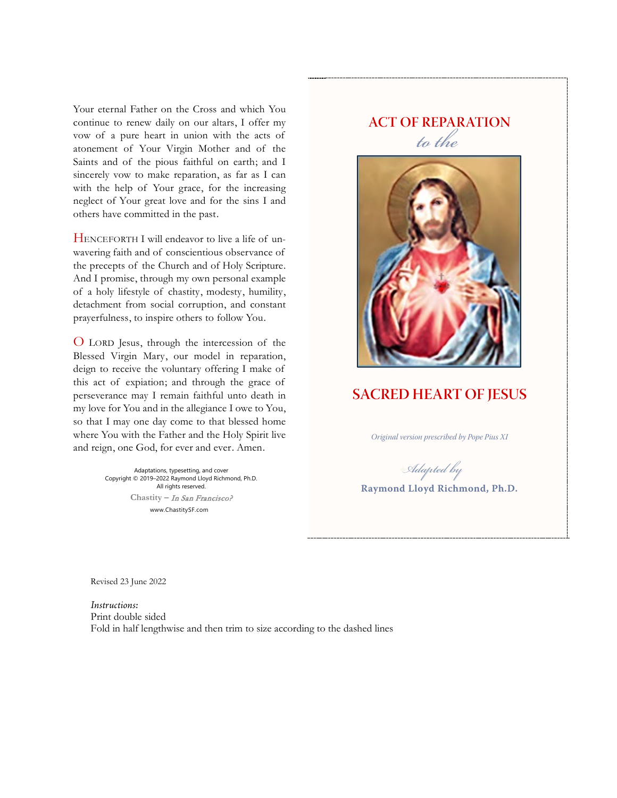Your eternal Father on the Cross and which You continue to renew daily on our altars, I offer my vow of a pure heart in union with the acts of atonement of Your Virgin Mother and of the Saints and of the pious faithful on earth; and I sincerely vow to make reparation, as far as I can with the help of Your grace, for the increasing neglect of Your great love and for the sins I and others have committed in the past.

HENCEFORTH I will endeavor to live a life of unwavering faith and of conscientious observance of the precepts of the Church and of Holy Scripture. And I promise, through my own personal example of a holy lifestyle of chastity, modesty, humility, detachment from social corruption, and constant prayerfulness, to inspire others to follow You.

O LORD Jesus, through the intercession of the Blessed Virgin Mary, our model in reparation, deign to receive the voluntary offering I make of this act of expiation; and through the grace of perseverance may I remain faithful unto death in my love for You and in the allegiance I owe to You, so that I may one day come to that blessed home where You with the Father and the Holy Spirit live and reign, one God, for ever and ever. Amen.

> Adaptations, typesetting, and cover Copyright © 2019–2022 Raymond Lloyd Richmond, Ph.D. All rights reserved. **Chastity –** In San Francisco? www.ChastitySF.com

## **ACT OF REPARATION** *to the*



## **SACRED HEART OF JESUS**

*Original version prescribed by Pope Pius XI*

*Adapted by*

**Raymond Lloyd Richmond, Ph.D.**

Revised 23 June 2022

*Instructions:* Print double sided Fold in half lengthwise and then trim to size according to the dashed lines